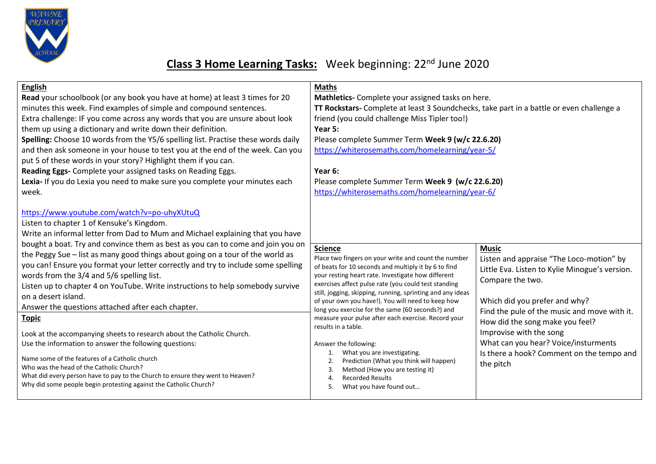

## **Class 3 Home Learning Tasks:** Week beginning: 22nd June 2020

| <b>English</b><br>Read your schoolbook (or any book you have at home) at least 3 times for 20<br>minutes this week. Find examples of simple and compound sentences.<br>Extra challenge: IF you come across any words that you are unsure about look<br>them up using a dictionary and write down their definition.<br>Spelling: Choose 10 words from the Y5/6 spelling list. Practise these words daily<br>and then ask someone in your house to test you at the end of the week. Can you<br>put 5 of these words in your story? Highlight them if you can.<br>Reading Eggs- Complete your assigned tasks on Reading Eggs.<br>Lexia- If you do Lexia you need to make sure you complete your minutes each<br>week.                                                                                                                                                                               | <b>Maths</b><br>Mathletics- Complete your assigned tasks on here.<br>TT Rockstars- Complete at least 3 Soundchecks, take part in a battle or even challenge a<br>friend (you could challenge Miss Tipler too!)<br>Year 5:<br>Please complete Summer Term Week 9 (w/c 22.6.20)<br>https://whiterosemaths.com/homelearning/year-5/<br>Year 6:<br>Please complete Summer Term Week 9 (w/c 22.6.20)<br>https://whiterosemaths.com/homelearning/year-6/                                                                                                                                                                                                  |                                                                                                                                                                                                                                                                                                                                                                                 |
|--------------------------------------------------------------------------------------------------------------------------------------------------------------------------------------------------------------------------------------------------------------------------------------------------------------------------------------------------------------------------------------------------------------------------------------------------------------------------------------------------------------------------------------------------------------------------------------------------------------------------------------------------------------------------------------------------------------------------------------------------------------------------------------------------------------------------------------------------------------------------------------------------|-----------------------------------------------------------------------------------------------------------------------------------------------------------------------------------------------------------------------------------------------------------------------------------------------------------------------------------------------------------------------------------------------------------------------------------------------------------------------------------------------------------------------------------------------------------------------------------------------------------------------------------------------------|---------------------------------------------------------------------------------------------------------------------------------------------------------------------------------------------------------------------------------------------------------------------------------------------------------------------------------------------------------------------------------|
| https://www.youtube.com/watch?v=po-uhyXUtuQ<br>Listen to chapter 1 of Kensuke's Kingdom.<br>Write an informal letter from Dad to Mum and Michael explaining that you have<br>bought a boat. Try and convince them as best as you can to come and join you on<br>the Peggy Sue - list as many good things about going on a tour of the world as<br>you can! Ensure you format your letter correctly and try to include some spelling<br>words from the 3/4 and 5/6 spelling list.<br>Listen up to chapter 4 on YouTube. Write instructions to help somebody survive<br>on a desert island.<br>Answer the questions attached after each chapter.<br><b>Topic</b><br>Look at the accompanying sheets to research about the Catholic Church.<br>Use the information to answer the following questions:<br>Name some of the features of a Catholic church<br>Who was the head of the Catholic Church? | <b>Science</b><br>Place two fingers on your write and count the number<br>of beats for 10 seconds and multiply it by 6 to find<br>your resting heart rate. Investigate how different<br>exercises affect pulse rate (you could test standing<br>still, jogging, skipping, running, sprinting and any ideas<br>of your own you have!). You will need to keep how<br>long you exercise for the same (60 seconds?) and<br>measure your pulse after each exercise. Record your<br>results in a table.<br>Answer the following:<br>What you are investigating.<br>Prediction (What you think will happen)<br>2.<br>Method (How you are testing it)<br>3. | <b>Music</b><br>Listen and appraise "The Loco-motion" by<br>Little Eva. Listen to Kylie Minogue's version.<br>Compare the two.<br>Which did you prefer and why?<br>Find the pule of the music and move with it.<br>How did the song make you feel?<br>Improvise with the song<br>What can you hear? Voice/insturments<br>Is there a hook? Comment on the tempo and<br>the pitch |